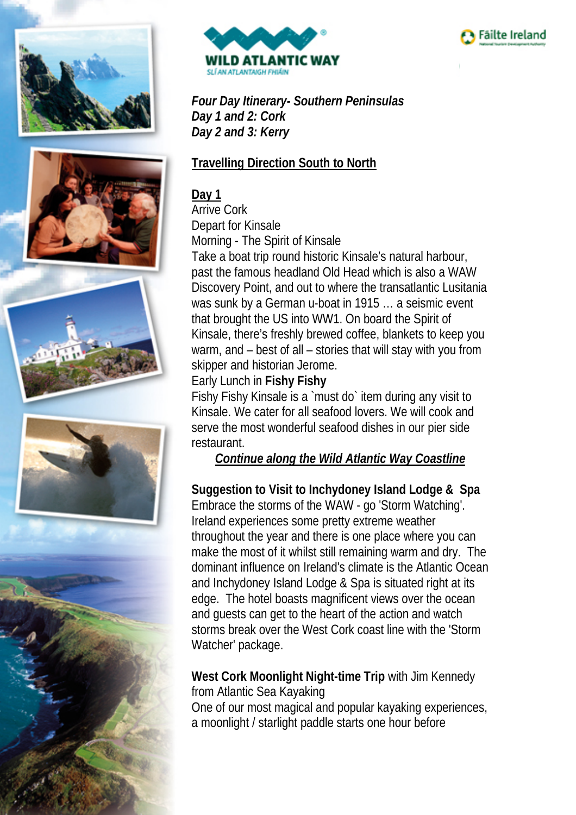











*Four Day Itinerary- Southern Peninsulas Day 1 and 2: Cork Day 2 and 3: Kerry*

## **Travelling Direction South to North**

## **Day 1**

Arrive Cork Depart for Kinsale Morning - The Spirit of Kinsale Take a boat trip round historic Kinsale's natural harbour, past the famous headland Old Head which is also a WAW Discovery Point, and out to where the transatlantic Lusitania was sunk by a German u-boat in 1915 … a seismic event that brought the US into WW1. On board the Spirit of Kinsale, there's freshly brewed coffee, blankets to keep you warm, and – best of all – stories that will stay with you from skipper and historian Jerome.

### Early Lunch in **Fishy Fishy**

Fishy Fishy Kinsale is a `must do` item during any visit to Kinsale. We cater for all seafood lovers. We will cook and serve the most wonderful seafood dishes in our pier side restaurant.

#### *Continue along the Wild Atlantic Way Coastline*

### **Suggestion to Visit to Inchydoney Island Lodge & Spa**

Embrace the storms of the WAW - go 'Storm Watching'. Ireland experiences some pretty extreme weather throughout the year and there is one place where you can make the most of it whilst still remaining warm and dry. The dominant influence on Ireland's climate is the Atlantic Ocean and Inchydoney Island Lodge & Spa is situated right at its edge. The hotel boasts magnificent views over the ocean and guests can get to the heart of the action and watch storms break over the West Cork coast line with the 'Storm Watcher' package.

**West Cork Moonlight Night-time Trip** with Jim Kennedy from Atlantic Sea Kayaking One of our most magical and popular kayaking experiences, a moonlight / starlight paddle starts one hour before

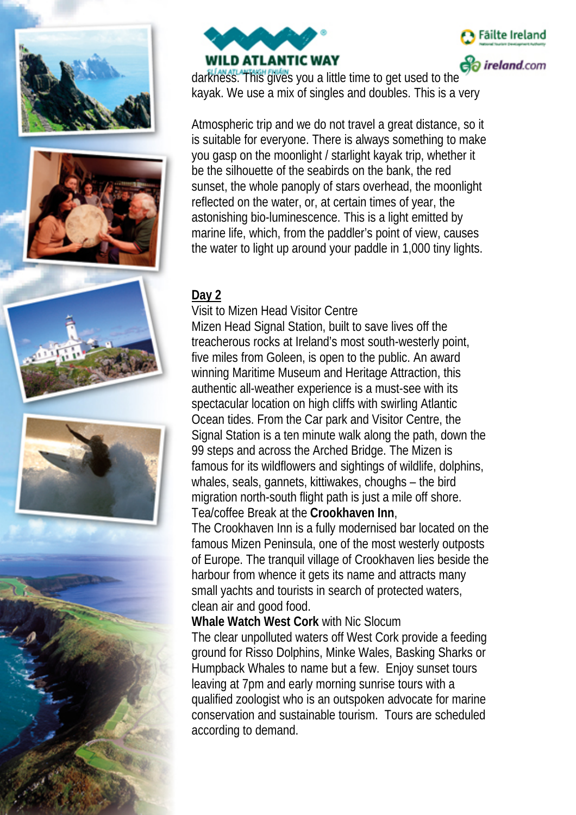













darkness. This gives you a little time to get used to the kayak. We use a mix of singles and doubles. This is a very

Atmospheric trip and we do not travel a great distance, so it is suitable for everyone. There is always something to make you gasp on the moonlight / starlight kayak trip, whether it be the silhouette of the seabirds on the bank, the red sunset, the whole panoply of stars overhead, the moonlight reflected on the water, or, at certain times of year, the astonishing bio-luminescence. This is a light emitted by marine life, which, from the paddler's point of view, causes the water to light up around your paddle in 1,000 tiny lights.

#### **Day 2**

Visit to Mizen Head Visitor Centre Mizen Head Signal Station, built to save lives off the treacherous rocks at Ireland's most south-westerly point, five miles from Goleen, is open to the public. An award winning Maritime Museum and Heritage Attraction, this authentic all-weather experience is a must-see with its spectacular location on high cliffs with swirling Atlantic Ocean tides. From the Car park and Visitor Centre, the Signal Station is a ten minute walk along the path, down the 99 steps and across the Arched Bridge. The Mizen is famous for its wildflowers and sightings of wildlife, dolphins, whales, seals, gannets, kittiwakes, choughs – the bird migration north-south flight path is just a mile off shore. Tea/coffee Break at the **Crookhaven Inn**,

The Crookhaven Inn is a fully modernised bar located on the famous Mizen Peninsula, one of the most westerly outposts of Europe. The tranquil village of Crookhaven lies beside the harbour from whence it gets its name and attracts many small yachts and tourists in search of protected waters, clean air and good food.

**Whale Watch West Cork** with Nic Slocum The clear unpolluted waters off West Cork provide a feeding ground for Risso Dolphins, Minke Wales, Basking Sharks or Humpback Whales to name but a few. Enjoy sunset tours leaving at 7pm and early morning sunrise tours with a qualified zoologist who is an outspoken advocate for marine conservation and sustainable tourism. Tours are scheduled according to demand.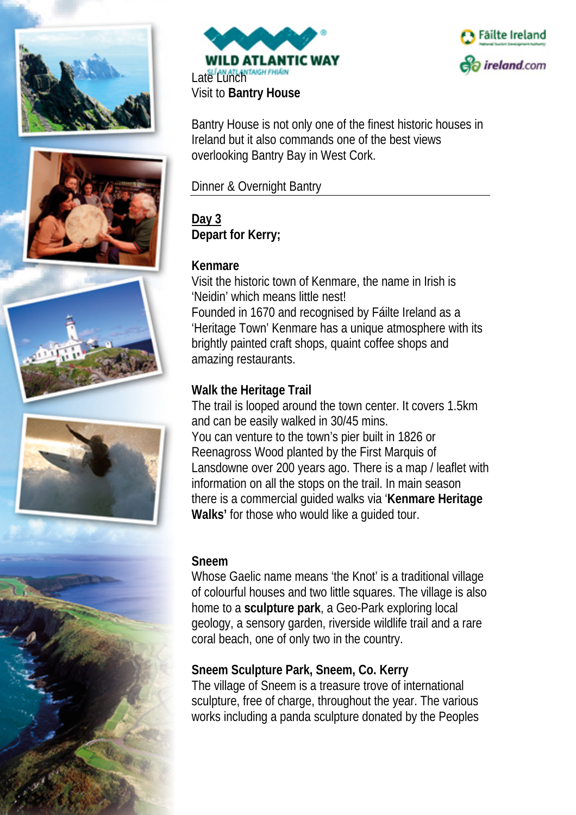













Bantry House is not only one of the finest historic houses in Ireland but it also commands one of the best views overlooking Bantry Bay in West Cork.

Dinner & Overnight Bantry

**Day 3 Depart for Kerry;**

## **Kenmare**

Visit the historic town of Kenmare, the name in Irish is 'Neidin' which means little nest! Founded in 1670 and recognised by Fáilte Ireland as a 'Heritage Town' Kenmare has a unique atmosphere with its brightly painted craft shops, quaint coffee shops and amazing restaurants.

## **Walk the Heritage Trail**

The trail is looped around the town center. It covers 1.5km and can be easily walked in 30/45 mins. You can venture to the town's pier built in 1826 or Reenagross Wood planted by the First Marquis of Lansdowne over 200 years ago. There is a map / leaflet with information on all the stops on the trail. In main season there is a commercial guided walks via '**Kenmare Heritage Walks'** for those who would like a guided tour.

#### **Sneem**

Whose Gaelic name means 'the Knot' is a traditional village of colourful houses and two little squares. The village is also home to a **sculpture park**, a Geo-Park exploring local geology, a sensory garden, riverside wildlife trail and a rare coral beach, one of only two in the country.

## **[Sneem Sculpture Park, Sneem, Co. Kerry](https://soundcloud.com/vincenthyland)**

The village of Sneem is a treasure trove of international sculpture, free of charge, throughout the year. The various works including a panda sculpture donated by the Peoples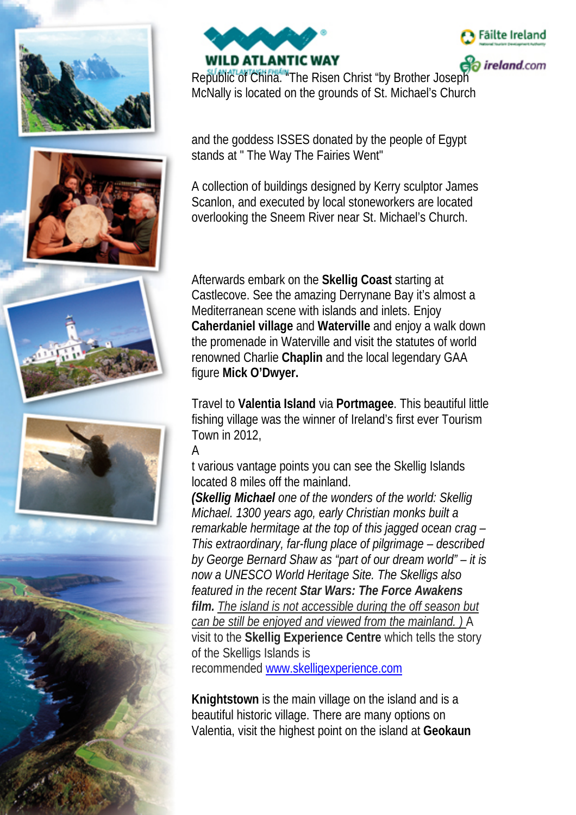













*ireland.com* 

Republic of China. "The Risen Christ "by Brother Joseph McNally is located on the grounds of St. Michael's Church

and the goddess ISSES donated by the people of Egypt stands at " The Way The Fairies Went"

A collection of buildings designed by Kerry sculptor James Scanlon, and executed by local stoneworkers are located overlooking the Sneem River near St. Michael's Church.

Afterwards embark on the **Skellig Coast** starting at Castlecove. See the amazing Derrynane Bay it's almost a Mediterranean scene with islands and inlets. Enjoy **Caherdaniel village** and **Waterville** and enjoy a walk down the promenade in Waterville and visit the statutes of world renowned Charlie **Chaplin** and the local legendary GAA figure **Mick O'Dwyer.**

Travel to **Valentia Island** via **Portmagee**. This beautiful little fishing village was the winner of Ireland's first ever Tourism Town in 2012,

#### A

t various vantage points you can see the Skellig Islands located 8 miles off the mainland.

*(Skellig Michael one of the wonders of the world: Skellig Michael. 1300 years ago, early Christian monks built a remarkable hermitage at the top of this jagged ocean crag – This extraordinary, far-flung place of pilgrimage – described by George Bernard Shaw as "part of our dream world" – it is now a UNESCO World Heritage Site. The Skelligs also featured in the recent Star Wars: The Force Awakens film. The island is not accessible during the off season but can be still be enjoyed and viewed from the mainland. )* A visit to the **Skellig Experience Centre** which tells the story of the Skelligs Islands is recommended [www.skelligexperience.com](http://www.skelligexperience.com/)

**Knightstown** is the main village on the island and is a beautiful historic village. There are many options on Valentia, visit the highest point on the island at **Geokaun**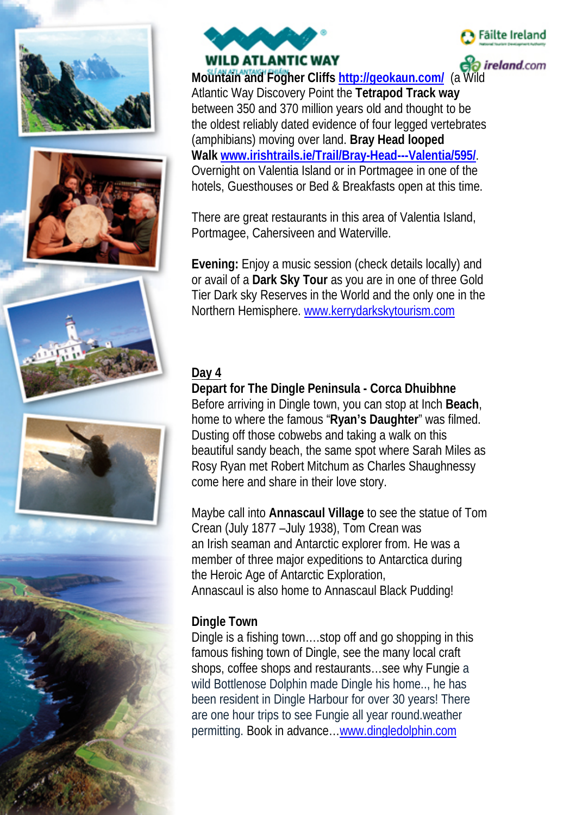













*ireland.com* 

**Mountain and Fogher Cliffs <http://geokaun.com/>** (a Wild Atlantic Way Discovery Point the **Tetrapod Track way** between 350 and 370 million years old and thought to be the oldest reliably dated evidence of four legged vertebrates (amphibians) moving over land. **Bray Head looped Walk [www.irishtrails.ie/Trail/Bray-Head---Valentia/595/](http://www.irishtrails.ie/Trail/Bray-Head---Valentia/595/)**. Overnight on Valentia Island or in Portmagee in one of the hotels, Guesthouses or Bed & Breakfasts open at this time.

There are great restaurants in this area of Valentia Island, Portmagee, Cahersiveen and Waterville.

**Evening:** Enjoy a music session (check details locally) and or avail of a **Dark Sky Tour** as you are in one of three Gold Tier Dark sky Reserves in the World and the only one in the Northern Hemisphere. [www.kerrydarkskytourism.com](http://www.kerrydarkskytourism.com/)

# **Day 4**

**Depart for The Dingle Peninsula - Corca Dhuibhne** Before arriving in Dingle town, you can stop at Inch **Beach**, home to where the famous "**Ryan's Daughter**" was filmed. Dusting off those cobwebs and taking a walk on this beautiful sandy beach, the same spot where Sarah Miles as Rosy Ryan met Robert Mitchum as Charles Shaughnessy come here and share in their love story.

Maybe call into **Annascaul Village** to see the statue of Tom Crean (July 1877 –July 1938), Tom Crean was an [Irish](https://en.wikipedia.org/wiki/Irish_people) [seaman](https://en.wikipedia.org/wiki/Seaman) and [Antarctic](https://en.wikipedia.org/wiki/Antarctic) [explorer](https://en.wikipedia.org/wiki/Exploration) from. He was a member of three major expeditions to [Antarctica](https://en.wikipedia.org/wiki/Antarctica) during the [Heroic Age of Antarctic Exploration,](https://en.wikipedia.org/wiki/Heroic_Age_of_Antarctic_Exploration) Annascaul is also home to Annascaul Black Pudding!

#### **Dingle Town**

Dingle is a fishing town….stop off and go shopping in this famous fishing town of Dingle, see the many local craft shops, coffee shops and restaurants…see why Fungie a wild Bottlenose Dolphin made Dingle his home.., he has been resident in Dingle Harbour for over 30 years! There are one hour trips to see Fungie all year round.weather permitting. Book in advance[…www.dingledolphin.com](http://www.dingledolphin.com/)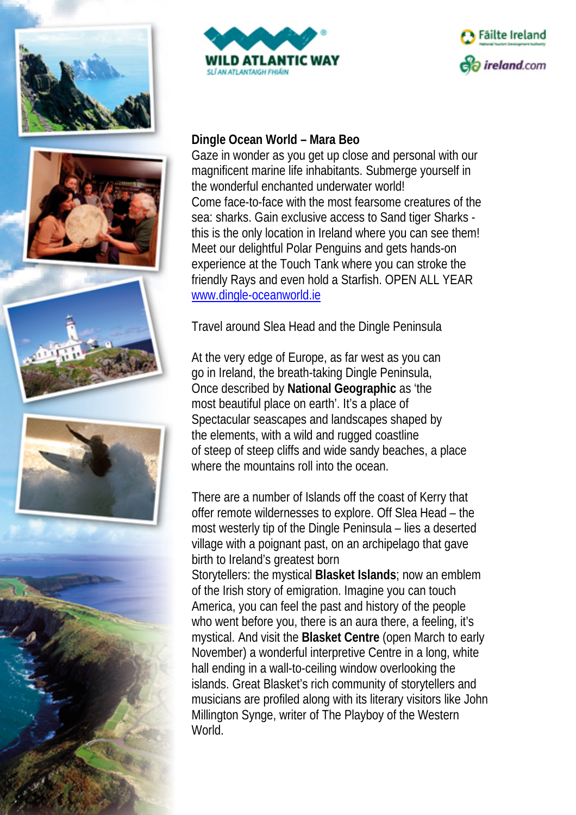













#### **Dingle Ocean World – Mara Beo**

Gaze in wonder as you get up close and personal with our magnificent marine life inhabitants. Submerge yourself in the wonderful enchanted underwater world! Come face-to-face with the most fearsome creatures of the sea: sharks. Gain exclusive access to Sand tiger Sharks this is the only location in Ireland where you can see them! Meet our delightful Polar Penguins and gets hands-on experience at the Touch Tank where you can stroke the friendly Rays and even hold a Starfish. OPEN ALL YEAR [www.dingle-oceanworld.ie](http://www.dingle-oceanworld.ie/)

Travel around Slea Head and the Dingle Peninsula

At the very edge of Europe, as far west as you can go in Ireland, the breath-taking Dingle Peninsula, Once described by **National Geographic** as 'the most beautiful place on earth'. It's a place of Spectacular seascapes and landscapes shaped by the elements, with a wild and rugged coastline of steep of steep cliffs and wide sandy beaches, a place where the mountains roll into the ocean.

There are a number of Islands off the coast of Kerry that offer remote wildernesses to explore. Off Slea Head – the most westerly tip of the Dingle Peninsula – lies a deserted village with a poignant past, on an archipelago that gave birth to Ireland's greatest born

Storytellers: the mystical **Blasket Islands**; now an emblem of the Irish story of emigration. Imagine you can touch America, you can feel the past and history of the people who went before you, there is an aura there, a feeling, it's mystical. And visit the **Blasket Centre** (open March to early November) a wonderful interpretive Centre in a long, white hall ending in a wall-to-ceiling window overlooking the islands. Great Blasket's rich community of storytellers and musicians are profiled along with its literary visitors like John Millington Synge, writer of The Playboy of the Western World.